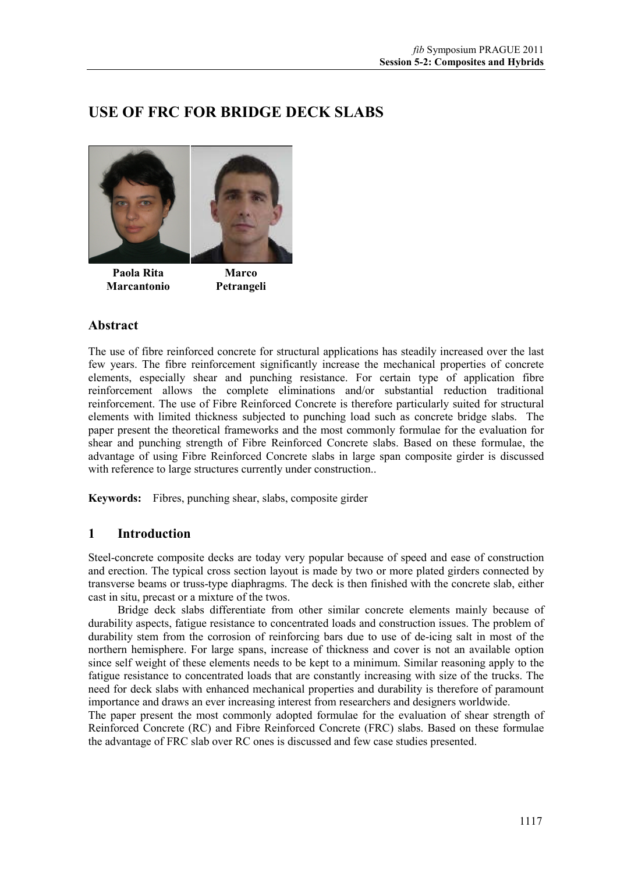# **USE OF FRC FOR BRIDGE DECK SLABS**



**Paola Rita Marcantonio** 

**Marco Petrangeli** 

# **Abstract**

The use of fibre reinforced concrete for structural applications has steadily increased over the last few years. The fibre reinforcement significantly increase the mechanical properties of concrete elements, especially shear and punching resistance. For certain type of application fibre reinforcement allows the complete eliminations and/or substantial reduction traditional reinforcement. The use of Fibre Reinforced Concrete is therefore particularly suited for structural elements with limited thickness subjected to punching load such as concrete bridge slabs. The paper present the theoretical frameworks and the most commonly formulae for the evaluation for shear and punching strength of Fibre Reinforced Concrete slabs. Based on these formulae, the advantage of using Fibre Reinforced Concrete slabs in large span composite girder is discussed with reference to large structures currently under construction..

**Keywords:** Fibres, punching shear, slabs, composite girder

## **1 Introduction**

Steel-concrete composite decks are today very popular because of speed and ease of construction and erection. The typical cross section layout is made by two or more plated girders connected by transverse beams or truss-type diaphragms. The deck is then finished with the concrete slab, either cast in situ, precast or a mixture of the twos.

Bridge deck slabs differentiate from other similar concrete elements mainly because of durability aspects, fatigue resistance to concentrated loads and construction issues. The problem of durability stem from the corrosion of reinforcing bars due to use of de-icing salt in most of the northern hemisphere. For large spans, increase of thickness and cover is not an available option since self weight of these elements needs to be kept to a minimum. Similar reasoning apply to the fatigue resistance to concentrated loads that are constantly increasing with size of the trucks. The need for deck slabs with enhanced mechanical properties and durability is therefore of paramount importance and draws an ever increasing interest from researchers and designers worldwide.

The paper present the most commonly adopted formulae for the evaluation of shear strength of Reinforced Concrete (RC) and Fibre Reinforced Concrete (FRC) slabs. Based on these formulae the advantage of FRC slab over RC ones is discussed and few case studies presented.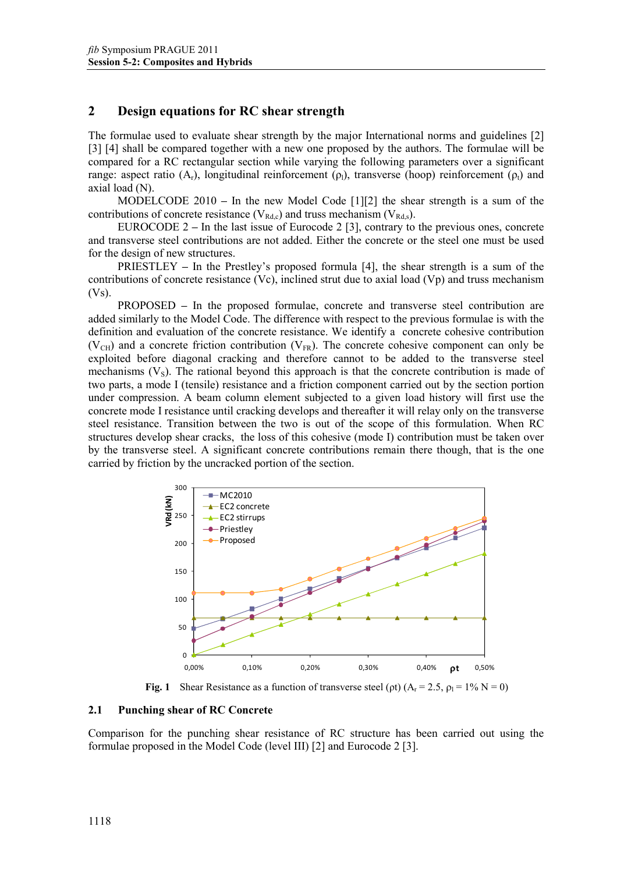### **2 Design equations for RC shear strength**

The formulae used to evaluate shear strength by the major International norms and guidelines [2] [3] [4] shall be compared together with a new one proposed by the authors. The formulae will be compared for a RC rectangular section while varying the following parameters over a significant range: aspect ratio  $(A_r)$ , longitudinal reinforcement  $(\rho_l)$ , transverse (hoop) reinforcement  $(\rho_l)$  and axial load (N).

MODELCODE 2010 **–** In the new Model Code [1][2] the shear strength is a sum of the contributions of concrete resistance ( $V_{Rd,c}$ ) and truss mechanism ( $V_{Rd,s}$ ).

EUROCODE 2 **–** In the last issue of Eurocode 2 [3], contrary to the previous ones, concrete and transverse steel contributions are not added. Either the concrete or the steel one must be used for the design of new structures.

PRIESTLEY **–** In the Prestley's proposed formula [4], the shear strength is a sum of the contributions of concrete resistance (Vc), inclined strut due to axial load (Vp) and truss mechanism  $(Vs)$ .

PROPOSED **–** In the proposed formulae, concrete and transverse steel contribution are added similarly to the Model Code. The difference with respect to the previous formulae is with the definition and evaluation of the concrete resistance. We identify a concrete cohesive contribution  $(V<sub>CH</sub>)$  and a concrete friction contribution  $(V<sub>FR</sub>)$ . The concrete cohesive component can only be exploited before diagonal cracking and therefore cannot to be added to the transverse steel mechanisms  $(V<sub>S</sub>)$ . The rational beyond this approach is that the concrete contribution is made of two parts, a mode I (tensile) resistance and a friction component carried out by the section portion under compression. A beam column element subjected to a given load history will first use the concrete mode I resistance until cracking develops and thereafter it will relay only on the transverse steel resistance. Transition between the two is out of the scope of this formulation. When RC structures develop shear cracks, the loss of this cohesive (mode I) contribution must be taken over by the transverse steel. A significant concrete contributions remain there though, that is the one carried by friction by the uncracked portion of the section.



**Fig. 1** Shear Resistance as a function of transverse steel ( $\rho t$ )  $(A_r = 2.5, \rho_l = 1\% N = 0)$ 

#### **2.1 Punching shear of RC Concrete**

Comparison for the punching shear resistance of RC structure has been carried out using the formulae proposed in the Model Code (level III) [2] and Eurocode 2 [3].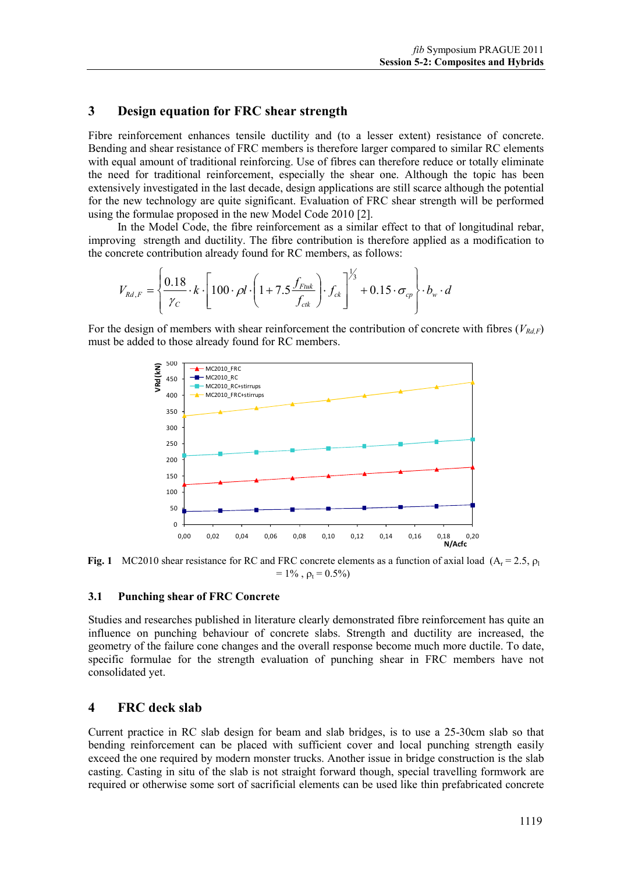### **3 Design equation for FRC shear strength**

Fibre reinforcement enhances tensile ductility and (to a lesser extent) resistance of concrete. Bending and shear resistance of FRC members is therefore larger compared to similar RC elements with equal amount of traditional reinforcing. Use of fibres can therefore reduce or totally eliminate the need for traditional reinforcement, especially the shear one. Although the topic has been extensively investigated in the last decade, design applications are still scarce although the potential for the new technology are quite significant. Evaluation of FRC shear strength will be performed using the formulae proposed in the new Model Code 2010 [2].

In the Model Code, the fibre reinforcement as a similar effect to that of longitudinal rebar, improving strength and ductility. The fibre contribution is therefore applied as a modification to the concrete contribution already found for RC members, as follows:

$$
V_{Rd,F} = \left\{ \frac{0.18}{\gamma_C} \cdot k \cdot \left[ 100 \cdot \rho l \cdot \left( 1 + 7.5 \frac{f_{Fuk}}{f_{ck}} \right) \cdot f_{ck} \right] \right\}^{\frac{1}{3}} + 0.15 \cdot \sigma_{cp} \right\} \cdot b_w \cdot d
$$

For the design of members with shear reinforcement the contribution of concrete with fibres  $(V_{RdF})$ must be added to those already found for RC members.



**Fig. 1** MC2010 shear resistance for RC and FRC concrete elements as a function of axial load  $(A_r = 2.5, p_1)$  $= 1\%$ ,  $\rho_t = 0.5\%$ 

#### **3.1 Punching shear of FRC Concrete**

Studies and researches published in literature clearly demonstrated fibre reinforcement has quite an influence on punching behaviour of concrete slabs. Strength and ductility are increased, the geometry of the failure cone changes and the overall response become much more ductile. To date, specific formulae for the strength evaluation of punching shear in FRC members have not consolidated yet.

### **4 FRC deck slab**

Current practice in RC slab design for beam and slab bridges, is to use a 25-30cm slab so that bending reinforcement can be placed with sufficient cover and local punching strength easily exceed the one required by modern monster trucks. Another issue in bridge construction is the slab casting. Casting in situ of the slab is not straight forward though, special travelling formwork are required or otherwise some sort of sacrificial elements can be used like thin prefabricated concrete